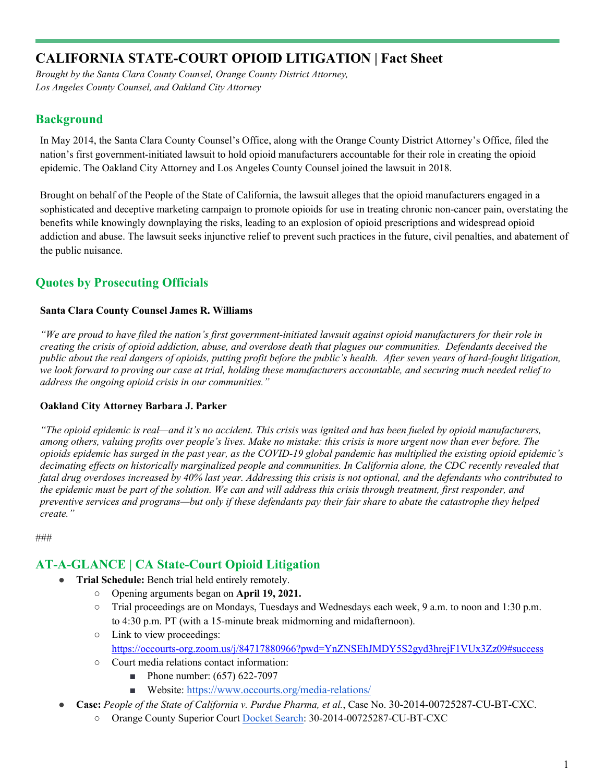# **CALIFORNIA STATE-COURT OPIOID LITIGATION | Fact Sheet**

*Brought by the Santa Clara County Counsel, Orange County District Attorney, Los Angeles County Counsel, and Oakland City Attorney*

### **Background**

In May 2014, the Santa Clara County Counsel's Office, along with the Orange County District Attorney's Office, filed the nation's first government-initiated lawsuit to hold opioid manufacturers accountable for their role in creating the opioid epidemic. The Oakland City Attorney and Los Angeles County Counsel joined the lawsuit in 2018.

Brought on behalf of the People of the State of California, the lawsuit alleges that the opioid manufacturers engaged in a sophisticated and deceptive marketing campaign to promote opioids for use in treating chronic non-cancer pain, overstating the benefits while knowingly downplaying the risks, leading to an explosion of opioid prescriptions and widespread opioid addiction and abuse. The lawsuit seeks injunctive relief to prevent such practices in the future, civil penalties, and abatement of the public nuisance.

### **Quotes by Prosecuting Officials**

#### **Santa Clara County Counsel James R. Williams**

*"We are proud to have filed the nation's first government-initiated lawsuit against opioid manufacturers for their role in creating the crisis of opioid addiction, abuse, and overdose death that plagues our communities. Defendants deceived the public about the real dangers of opioids, putting profit before the public's health. After seven years of hard-fought litigation, we look forward to proving our case at trial, holding these manufacturers accountable, and securing much needed relief to address the ongoing opioid crisis in our communities."*

#### **Oakland City Attorney Barbara J. Parker**

*"The opioid epidemic is real—and it's no accident. This crisis was ignited and has been fueled by opioid manufacturers, among others, valuing profits over people's lives. Make no mistake: this crisis is more urgent now than ever before. The opioids epidemic has surged in the past year, as the COVID-19 global pandemic has multiplied the existing opioid epidemic's decimating effects on historically marginalized people and communities. In California alone, the CDC recently revealed that fatal drug overdoses increased by 40% last year. Addressing this crisis is not optional, and the defendants who contributed to the epidemic must be part of the solution. We can and will address this crisis through treatment, first responder, and preventive services and programs—but only if these defendants pay their fair share to abate the catastrophe they helped create."*

###

### **AT-A-GLANCE | CA State-Court Opioid Litigation**

- **Trial Schedule:** Bench trial held entirely remotely.
	- Opening arguments began on **April 19, 2021.**
	- Trial proceedings are on Mondays, Tuesdays and Wednesdays each week, 9 a.m. to noon and 1:30 p.m. to 4:30 p.m. PT (with a 15-minute break midmorning and midafternoon).
	- Link to view proceedings: <https://occourts-org.zoom.us/j/84717880966?pwd=YnZNSEhJMDY5S2gyd3hrejF1VUx3Zz09#success>
	- Court media relations contact information:
		- Phone number: (657) 622-7097
		- Website: [https://www.occourts.org/media-relations/](https://protect-us.mimecast.com/s/K0oECo29NVuXjVlBi1vehS?domain=occourts.org/)
- **Case:** *People of the State of California v. Purdue Pharma, et al.*, Case No. 30-2014-00725287-CU-BT-CXC.
	- Orange County Superior Court [Docket Search:](https://ocjustice.occourts.org/civilwebShoppingNS/SearchCase.do#searchAnchor) 30-2014-00725287-CU-BT-CXC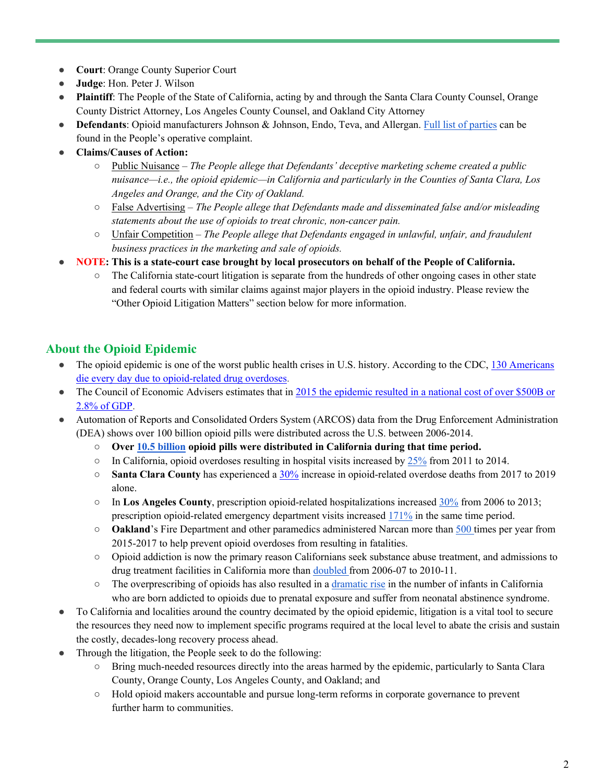- **Court**: Orange County Superior Court
- **Judge**: Hon. Peter J. Wilson
- **Plaintiff**: The People of the State of California, acting by and through the Santa Clara County Counsel, Orange County District Attorney, Los Angeles County Counsel, and Oakland City Attorney
- **Defendants**: Opioid manufacturers Johnson & Johnson, Endo, Teva, and Allergan. [Full list of parties](https://counsel.sccgov.org/sites/g/files/exjcpb426/files/20180608-6th_Amended_Complaint.pdf) can be found in the People's operative complaint.
- **Claims/Causes of Action:**
	- Public Nuisance *The People allege that Defendants' deceptive marketing scheme created a public nuisance—i.e., the opioid epidemic—in California and particularly in the Counties of Santa Clara, Los Angeles and Orange, and the City of Oakland.*
	- False Advertising *The People allege that Defendants made and disseminated false and/or misleading statements about the use of opioids to treat chronic, non-cancer pain.*
	- Unfair Competition *The People allege that Defendants engaged in unlawful, unfair, and fraudulent business practices in the marketing and sale of opioids.*
- **NOTE: This is a state-court case brought by local prosecutors on behalf of the People of California.** 
	- The California state-court litigation is separate from the hundreds of other ongoing cases in other state and federal courts with similar claims against major players in the opioid industry. Please review the "Other Opioid Litigation Matters" section below for more information.

## **About the Opioid Epidemic**

- The opioid epidemic is one of the worst public health crises in U.S. history. According to the CDC, 130 Americans [die every day due to opioid-related drug overdoses.](https://www.cdc.gov/injury/features/prescription-drug-overdose/index.html)
- The Council of Economic Advisers estimates that in 2015 the epidemic resulted in a national cost of over \$500B or [2.8% of GDP.](https://www.whitehouse.gov/sites/whitehouse.gov/files/images/The%20Underestimated%20Cost%20of%20the%20Opioid%20Crisis.pdf)
- Automation of Reports and Consolidated Orders System (ARCOS) data from the Drug Enforcement Administration (DEA) shows over 100 billion opioid pills were distributed across the U.S. between 2006-2014.
	- **Over [10.5 billion](https://www.washingtonpost.com/graphics/2019/investigations/dea-pain-pill-database/) opioid pills were distributed in California during that time period.**
	- $\circ$  In California, opioid overdoses resulting in hospital visits increased b[y 25%](https://www.chcf.org/wp-content/uploads/2018/09/SubstanceUseDisorderAlmanac2018.pdf) from 2011 to 2014.
	- **Santa Clara County** has experienced a [30%](https://skylab.cdph.ca.gov/ODdash/) increase in opioid-related overdose deaths from 2017 to 2019 alone.
	- In **Los Angeles County**, prescription opioid-related hospitalizations increased [30%](http://publichealth.lacounty.gov/sapc/MDU/MDBrief/OpioidBriefFinal.pdf) from 2006 to 2013; prescription opioid-related emergency department visits increased [171%](http://publichealth.lacounty.gov/sapc/MDU/MDBrief/OpioidBriefFinal.pdf) in the same time period.
	- **Oakland**'s Fire Department and other paramedics administered Narcan more than [500 t](https://counsel.sccgov.org/sites/g/files/exjcpb426/files/20180608-6th_Amended_Complaint.pdf)imes per year from 2015-2017 to help prevent opioid overdoses from resulting in fatalities.
	- Opioid addiction is now the primary reason Californians seek substance abuse treatment, and admissions to drug treatment facilities in California more than [doubled f](https://www.samhsa.gov/data/sites/default/files/2014_Treatment_Episode_Data_Set_State_Admissions_9_15_16.pdf)rom 2006-07 to 2010-11.
	- The overprescribing of opioids has also resulted in [a dramatic rise](https://centerforhealthjournalism.org/fellowships/projects/born-drugs-babies-addicted-moms-are-increasing-alarming-rate-california) in the number of infants in California who are born addicted to opioids due to prenatal exposure and suffer from neonatal abstinence syndrome.
- To California and localities around the country decimated by the opioid epidemic, litigation is a vital tool to secure the resources they need now to implement specific programs required at the local level to abate the crisis and sustain the costly, decades-long recovery process ahead.
- Through the litigation, the People seek to do the following:
	- Bring much-needed resources directly into the areas harmed by the epidemic, particularly to Santa Clara County, Orange County, Los Angeles County, and Oakland; and
	- Hold opioid makers accountable and pursue long-term reforms in corporate governance to prevent further harm to communities.